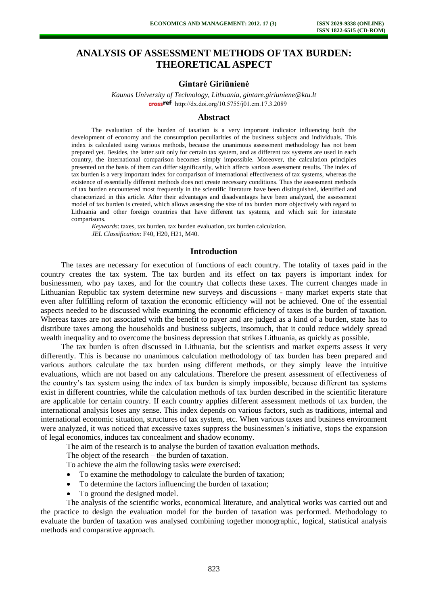# **ANALYSIS OF ASSESSMENT METHODS OF TAX BURDEN: THEORETICAL ASPECT**

# **Gintarė Giriūnienė**

*Kaunas University of Technology, Lithuania, gintare.giriuniene@ktu.lt*  crossref [http://dx.doi.org/10.5755/j01.e](http://dx.doi.org/10.5755/j01.em.17.3.2089)m.17.3.2089

### **Abstract**

The evaluation of the burden of taxation is a very important indicator influencing both the development of economy and the consumption peculiarities of the business subjects and individuals. This index is calculated using various methods, because the unanimous assessment methodology has not been prepared yet. Besides, the latter suit only for certain tax system, and as different tax systems are used in each country, the international comparison becomes simply impossible. Moreover, the calculation principles presented on the basis of them can differ significantly, which affects various assessment results. The index of tax burden is a very important index for comparison of international effectiveness of tax systems, whereas the existence of essentially different methods does not create necessary conditions. Thus the assessment methods of tax burden encountered most frequently in the scientific literature have been distinguished, identified and characterized in this article. After their advantages and disadvantages have been analyzed, the assessment model of tax burden is created, which allows assessing the size of tax burden more objectively with regard to Lithuania and other foreign countries that have different tax systems, and which suit for interstate comparisons.

*Keywords*: taxes, tax burden, tax burden evaluation, tax burden calculation. *JEL Classification*: F40, H20, H21, M40.

#### **Introduction**

The taxes are necessary for execution of functions of each country. The totality of taxes paid in the country creates the tax system. The tax burden and its effect on tax payers is important index for businessmen, who pay taxes, and for the country that collects these taxes. The current changes made in Lithuanian Republic tax system determine new surveys and discussions - many market experts state that even after fulfilling reform of taxation the economic efficiency will not be achieved. One of the essential aspects needed to be discussed while examining the economic efficiency of taxes is the burden of taxation. Whereas taxes are not associated with the benefit to payer and are judged as a kind of a burden, state has to distribute taxes among the households and business subjects, insomuch, that it could reduce widely spread wealth inequality and to overcome the business depression that strikes Lithuania, as quickly as possible.

The tax burden is often discussed in Lithuania, but the scientists and market experts assess it very differently. This is because no unanimous calculation methodology of tax burden has been prepared and various authors calculate the tax burden using different methods, or they simply leave the intuitive evaluations, which are not based on any calculations. Therefore the present assessment of effectiveness of the country's tax system using the index of tax burden is simply impossible, because different tax systems exist in different countries, while the calculation methods of tax burden described in the scientific literature are applicable for certain country. If each country applies different assessment methods of tax burden, the international analysis loses any sense. This index depends on various factors, such as traditions, internal and international economic situation, structures of tax system, etc. When various taxes and business environment were analyzed, it was noticed that excessive taxes suppress the businessmen's initiative, stops the expansion of legal economics, induces tax concealment and shadow economy.

The aim of the research is to analyse the burden of taxation evaluation methods.

The object of the research – the burden of taxation.

To achieve the aim the following tasks were exercised:

- To examine the methodology to calculate the burden of taxation;
- To determine the factors influencing the burden of taxation;
- To ground the designed model.

The analysis of the scientific works, economical literature, and analytical works was carried out and the practice to design the evaluation model for the burden of taxation was performed. Methodology to evaluate the burden of taxation was analysed combining together monographic, logical, statistical analysis methods and comparative approach.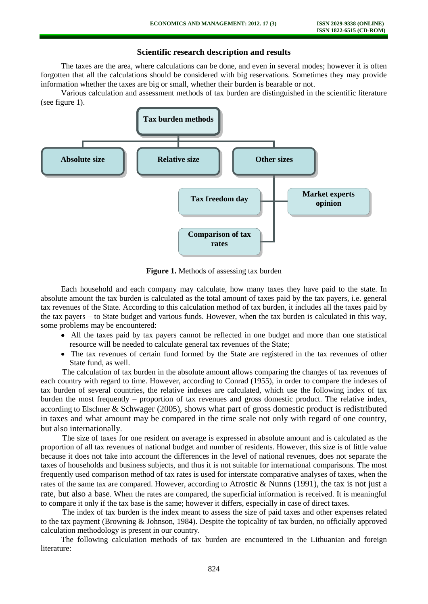## **Scientific research description and results**

The taxes are the area, where calculations can be done, and even in several modes; however it is often forgotten that all the calculations should be considered with big reservations. Sometimes they may provide information whether the taxes are big or small, whether their burden is bearable or not.

Various calculation and assessment methods of tax burden are distinguished in the scientific literature (see figure 1).



**Figure 1.** Methods of assessing tax burden

Each household and each company may calculate, how many taxes they have paid to the state. In absolute amount the tax burden is calculated as the total amount of taxes paid by the tax payers, i.e. general tax revenues of the State. According to this calculation method of tax burden, it includes all the taxes paid by the tax payers – to State budget and various funds. However, when the tax burden is calculated in this way, some problems may be encountered:

- All the taxes paid by tax payers cannot be reflected in one budget and more than one statistical resource will be needed to calculate general tax revenues of the State;
- The tax revenues of certain fund formed by the State are registered in the tax revenues of other State fund, as well.

The calculation of tax burden in the absolute amount allows comparing the changes of tax revenues of each country with regard to time. However, according to Conrad (1955), in order to compare the indexes of tax burden of several countries, the relative indexes are calculated, which use the following index of tax burden the most frequently – proportion of tax revenues and gross domestic product. The relative index, according to Elschner & Schwager (2005), shows what part of gross domestic product is redistributed in taxes and what amount may be compared in the time scale not only with regard of one country, but also internationally.

The size of taxes for one resident on average is expressed in absolute amount and is calculated as the proportion of all tax revenues of national budget and number of residents. However, this size is of little value because it does not take into account the differences in the level of national revenues, does not separate the taxes of households and business subjects, and thus it is not suitable for international comparisons. The most frequently used comparison method of tax rates is used for interstate comparative analyses of taxes, when the rates of the same tax are compared. However, according to Atrostic & Nunns (1991), the tax is not just a rate, but also a base. When the rates are compared, the superficial information is received. It is meaningful to compare it only if the tax base is the same; however it differs, especially in case of direct taxes.

The index of tax burden is the index meant to assess the size of paid taxes and other expenses related to the tax payment (Browning & Johnson, 1984). Despite the topicality of tax burden, no officially approved calculation methodology is present in our country.

The following calculation methods of tax burden are encountered in the Lithuanian and foreign literature: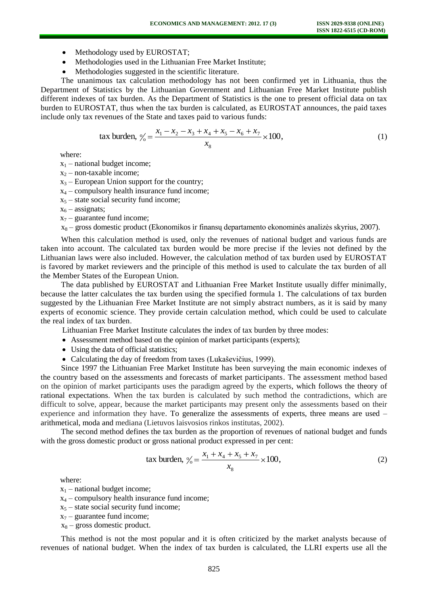- Methodology used by EUROSTAT;
- Methodologies used in the Lithuanian Free Market Institute;
- Methodologies suggested in the scientific literature.

The unanimous tax calculation methodology has not been confirmed yet in Lithuania, thus the Department of Statistics by the Lithuanian Government and Lithuanian Free Market Institute publish different indexes of tax burden. As the Department of Statistics is the one to present official data on tax burden to EUROSTAT, thus when the tax burden is calculated, as EUROSTAT announces, the paid taxes include only tax revenues of the State and taxes paid to various funds:

tax burden, 
$$
\% = \frac{x_1 - x_2 - x_3 + x_4 + x_5 - x_6 + x_7}{x_8} \times 100,
$$
 (1)

where:

 $x_1$  – national budget income;

 $x_2$  – non-taxable income;

 $x_3$  – European Union support for the country;

 $x_4$  – compulsory health insurance fund income;

 $x_5$  – state social security fund income;

 $x_6$  – assignats;

 $x_7$  – guarantee fund income;

 $x_8$  – gross domestic product (Ekonomikos ir finansų departamento ekonominės analizės skyrius, 2007).

When this calculation method is used, only the revenues of national budget and various funds are taken into account. The calculated tax burden would be more precise if the levies not defined by the Lithuanian laws were also included. However, the calculation method of tax burden used by EUROSTAT is favored by market reviewers and the principle of this method is used to calculate the tax burden of all the Member States of the European Union.

The data published by EUROSTAT and Lithuanian Free Market Institute usually differ minimally, because the latter calculates the tax burden using the specified formula 1. The calculations of tax burden suggested by the Lithuanian Free Market Institute are not simply abstract numbers, as it is said by many experts of economic science. They provide certain calculation method, which could be used to calculate the real index of tax burden.

Lithuanian Free Market Institute calculates the index of tax burden by three modes:

- Assessment method based on the opinion of market participants (experts);
- Using the data of official statistics;
- Calculating the day of freedom from taxes (Lukaševičius, 1999).

Since 1997 the Lithuanian Free Market Institute has been surveying the main economic indexes of the country based on the assessments and forecasts of market participants. The assessment method based on the opinion of market participants uses the paradigm agreed by the experts, which follows the theory of rational expectations. When the tax burden is calculated by such method the contradictions, which are difficult to solve, appear, because the market participants may present only the assessments based on their experience and information they have. To generalize the assessments of experts, three means are used – arithmetical, moda and mediana (Lietuvos laisvosios rinkos institutas, 2002).

The second method defines the tax burden as the proportion of revenues of national budget and funds with the gross domestic product or gross national product expressed in per cent:

tax burden, 
$$
\frac{y_0}{t} = \frac{x_1 + x_4 + x_5 + x_7}{x_8} \times 100,
$$
 (2)

where:

 $x_1$  – national budget income;

- $x_4$  compulsory health insurance fund income;
- $x<sub>5</sub> state social security fund income;$
- $x_7$  guarantee fund income;
- $x_8$  gross domestic product.

This method is not the most popular and it is often criticized by the market analysts because of revenues of national budget. When the index of tax burden is calculated, the LLRI experts use all the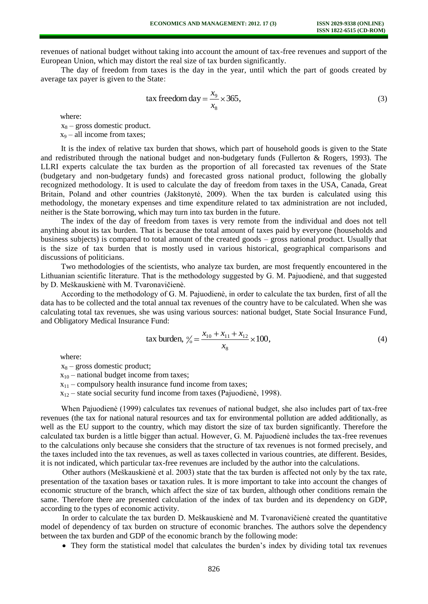revenues of national budget without taking into account the amount of tax-free revenues and support of the European Union, which may distort the real size of tax burden significantly.

The day of freedom from taxes is the day in the year, until which the part of goods created by average tax payer is given to the State:

$$
\text{tax freedom day} = \frac{x_9}{x_8} \times 365,\tag{3}
$$

where:

 $x_8$  – gross domestic product.  $x_9$  – all income from taxes;

It is the index of relative tax burden that shows, which part of household goods is given to the State and redistributed through the national budget and non-budgetary funds (Fullerton & Rogers, 1993). The LLRI experts calculate the tax burden as the proportion of all forecasted tax revenues of the State (budgetary and non-budgetary funds) and forecasted gross national product, following the globally recognized methodology. It is used to calculate the day of freedom from taxes in the USA, Canada, Great Britain, Poland and other countries (Jakštonytė, 2009). When the tax burden is calculated using this methodology, the monetary expenses and time expenditure related to tax administration are not included, neither is the State borrowing, which may turn into tax burden in the future.

The index of the day of freedom from taxes is very remote from the individual and does not tell anything about its tax burden. That is because the total amount of taxes paid by everyone (households and business subjects) is compared to total amount of the created goods – gross national product. Usually that is the size of tax burden that is mostly used in various historical, geographical comparisons and discussions of politicians.

Two methodologies of the scientists, who analyze tax burden, are most frequently encountered in the Lithuanian scientific literature. That is the methodology suggested by G. M. Pajuodienė, and that suggested by D. Meškauskienė with M. Tvaronavičienė.

According to the methodology of G. M. Pajuodienė, in order to calculate the tax burden, first of all the data has to be collected and the total annual tax revenues of the country have to be calculated. When she was calculating total tax revenues, she was using various sources: national budget, State Social Insurance Fund, and Obligatory Medical Insurance Fund:

tax burden, 
$$
\frac{x_0}{x_0} = \frac{x_{10} + x_{11} + x_{12}}{x_8} \times 100,
$$
 (4)

where:

 $x_8$  – gross domestic product:

 $x_{10}$  – national budget income from taxes;

 $x_{11}$  – compulsory health insurance fund income from taxes;

 $x_{12}$  – state social security fund income from taxes (Pajuodienė, 1998).

When Pajuodienė (1999) calculates tax revenues of national budget, she also includes part of tax-free revenues (the tax for national natural resources and tax for environmental pollution are added additionally, as well as the EU support to the country, which may distort the size of tax burden significantly. Therefore the calculated tax burden is a little bigger than actual. However, G. M. Pajuodienė includes the tax-free revenues to the calculations only because she considers that the structure of tax revenues is not formed precisely, and the taxes included into the tax revenues, as well as taxes collected in various countries, ate different. Besides, it is not indicated, which particular tax-free revenues are included by the author into the calculations.

Other authors (Meškauskienė et al. 2003) state that the tax burden is affected not only by the tax rate, presentation of the taxation bases or taxation rules. It is more important to take into account the changes of economic structure of the branch, which affect the size of tax burden, although other conditions remain the same. Therefore there are presented calculation of the index of tax burden and its dependency on GDP, according to the types of economic activity.

In order to calculate the tax burden D. Meškauskienė and M. Tvaronavičienė created the quantitative model of dependency of tax burden on structure of economic branches. The authors solve the dependency between the tax burden and GDP of the economic branch by the following mode:

They form the statistical model that calculates the burden's index by dividing total tax revenues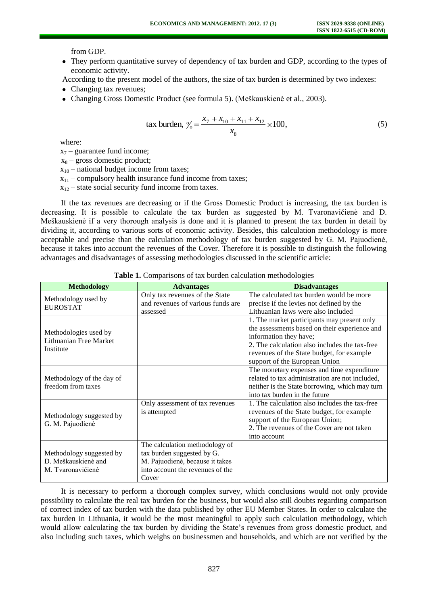from GDP.

They perform quantitative survey of dependency of tax burden and GDP, according to the types of economic activity.

According to the present model of the authors, the size of tax burden is determined by two indexes:

- Changing tax revenues;
- Changing Gross Domestic Product (see formula 5). (Meškauskienė et al., 2003).

tax burden, 
$$
\% = \frac{x_7 + x_{10} + x_{11} + x_{12}}{x_8} \times 100,
$$
 (5)

where:

 $x_7$  – guarantee fund income;

 $x_8$  – gross domestic product;

 $x_{10}$  – national budget income from taxes;

 $x_{11}$  – compulsory health insurance fund income from taxes;

 $x_{12}$  – state social security fund income from taxes.

If the tax revenues are decreasing or if the Gross Domestic Product is increasing, the tax burden is decreasing. It is possible to calculate the tax burden as suggested by M. Tvaronavičienė and D. Meškauskienė if a very thorough analysis is done and it is planned to present the tax burden in detail by dividing it, according to various sorts of economic activity. Besides, this calculation methodology is more acceptable and precise than the calculation methodology of tax burden suggested by G. M. Pajuodienė, because it takes into account the revenues of the Cover. Therefore it is possible to distinguish the following advantages and disadvantages of assessing methodologies discussed in the scientific article:

| <b>Methodology</b>                                                   | <b>Advantages</b>                                                                                                                            | <b>Disadvantages</b>                                                                                                                                                                                                                                  |
|----------------------------------------------------------------------|----------------------------------------------------------------------------------------------------------------------------------------------|-------------------------------------------------------------------------------------------------------------------------------------------------------------------------------------------------------------------------------------------------------|
| Methodology used by<br><b>EUROSTAT</b>                               | Only tax revenues of the State<br>and revenues of various funds are<br>assessed                                                              | The calculated tax burden would be more<br>precise if the levies not defined by the<br>Lithuanian laws were also included                                                                                                                             |
| Methodologies used by<br>Lithuanian Free Market<br>Institute         |                                                                                                                                              | 1. The market participants may present only<br>the assessments based on their experience and<br>information they have;<br>2. The calculation also includes the tax-free<br>revenues of the State budget, for example<br>support of the European Union |
| Methodology of the day of<br>freedom from taxes                      |                                                                                                                                              | The monetary expenses and time expenditure<br>related to tax administration are not included,<br>neither is the State borrowing, which may turn<br>into tax burden in the future                                                                      |
| Methodology suggested by<br>G. M. Pajuodienė                         | Only assessment of tax revenues<br>is attempted                                                                                              | 1. The calculation also includes the tax-free<br>revenues of the State budget, for example<br>support of the European Union;<br>2. The revenues of the Cover are not taken<br>into account                                                            |
| Methodology suggested by<br>D. Meškauskienė and<br>M. Tvaronavičienė | The calculation methodology of<br>tax burden suggested by G.<br>M. Pajuodienė, because it takes<br>into account the revenues of the<br>Cover |                                                                                                                                                                                                                                                       |

**Table 1.** Comparisons of tax burden calculation methodologies

It is necessary to perform a thorough complex survey, which conclusions would not only provide possibility to calculate the real tax burden for the business, but would also still doubts regarding comparison of correct index of tax burden with the data published by other EU Member States. In order to calculate the tax burden in Lithuania, it would be the most meaningful to apply such calculation methodology, which would allow calculating the tax burden by dividing the State's revenues from gross domestic product, and also including such taxes, which weighs on businessmen and households, and which are not verified by the